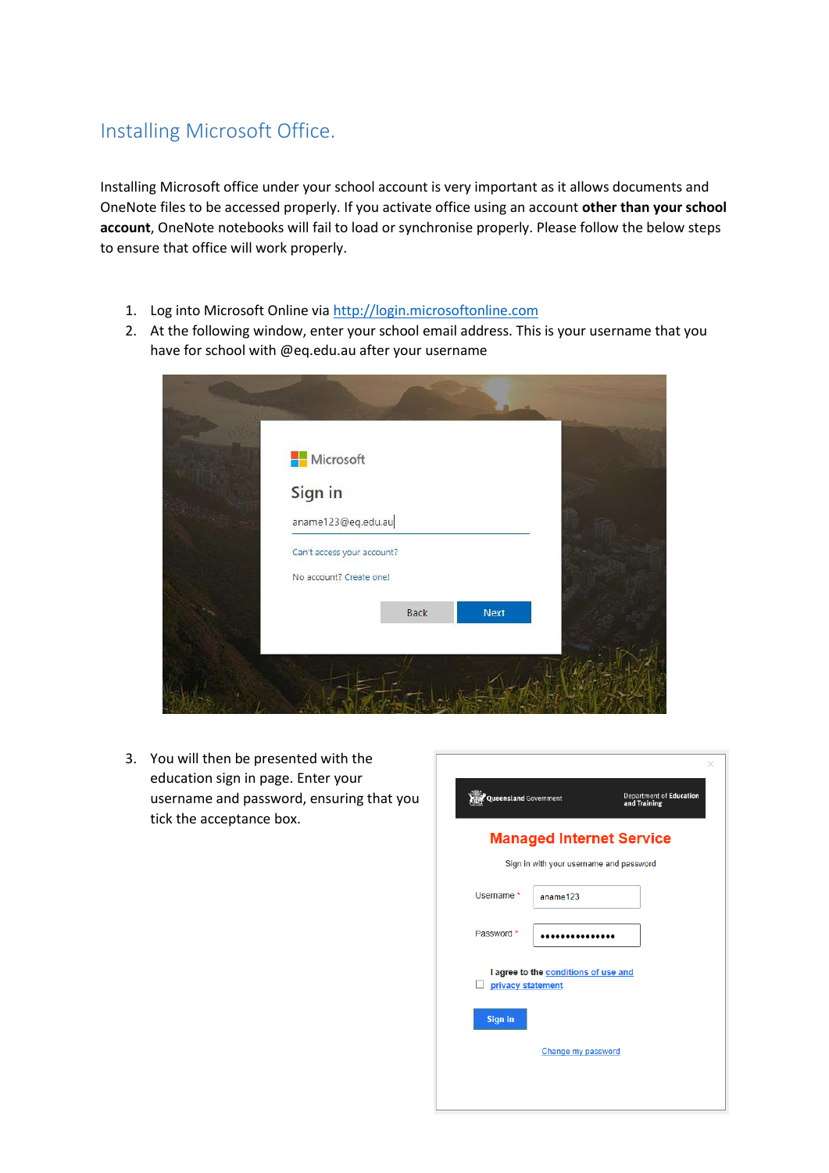## Installing Microsoft Office.

Installing Microsoft office under your school account is very important as it allows documents and OneNote files to be accessed properly. If you activate office using an account **other than your school account**, OneNote notebooks will fail to load or synchronise properly. Please follow the below steps to ensure that office will work properly.

- 1. Log into Microsoft Online via [http://login.microsoftonline.com](http://login.microsoftonline.com/)
- 2. At the following window, enter your school email address. This is your username that you have for school with @eq.edu.au after your username

| <b>Nicrosoft</b> |                            |      |  |
|------------------|----------------------------|------|--|
| Sign in          |                            |      |  |
|                  | aname123@eq.edu.au         |      |  |
|                  | Can't access your account? |      |  |
|                  | No account? Create one!    |      |  |
|                  | Back                       | Next |  |
|                  |                            |      |  |

3. You will then be presented with the education sign in page. Enter your username and password, ensuring that you tick the acceptance box.

| Queensland Government |                                         | <b>Department of Education</b><br>and Training |  |
|-----------------------|-----------------------------------------|------------------------------------------------|--|
|                       |                                         | <b>Managed Internet Service</b>                |  |
|                       | Sign in with your username and password |                                                |  |
| Username *            | aname123                                |                                                |  |
| Password *            |                                         |                                                |  |
| privacy statement     | I agree to the conditions of use and    |                                                |  |
| <b>Sign in</b>        |                                         |                                                |  |
|                       | Change my password                      |                                                |  |
|                       |                                         |                                                |  |
|                       |                                         |                                                |  |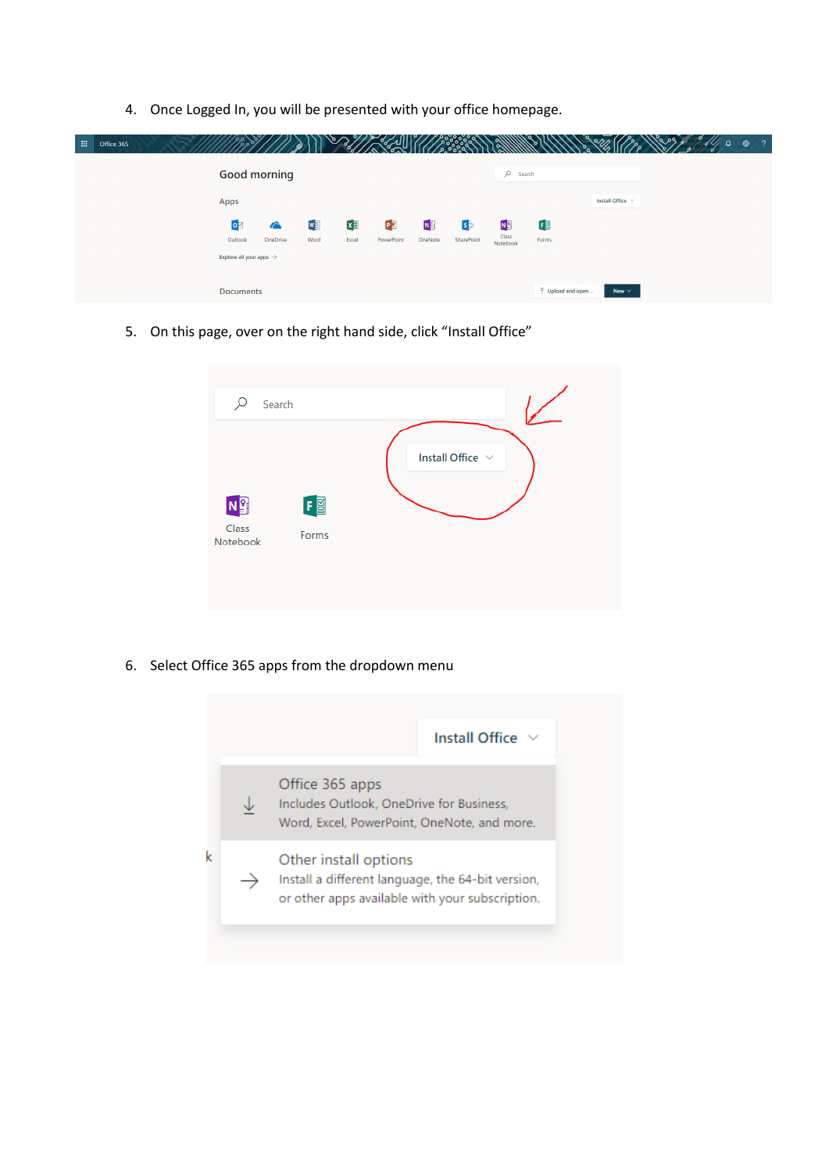4. Once Logged In, you will be presented with your office homepage.

| 扭 | Office 365 |                                     |                        |           |             |                  |              |                         |                         |                                  |                  | ٥٩ | $\Omega$ | $\sqrt{2}$<br>ශ |
|---|------------|-------------------------------------|------------------------|-----------|-------------|------------------|--------------|-------------------------|-------------------------|----------------------------------|------------------|----|----------|-----------------|
|   |            |                                     | <b>Good morning</b>    |           |             |                  |              |                         | $\circ$<br>Search       |                                  |                  |    |          |                 |
|   |            | Apps                                |                        |           |             |                  |              |                         |                         |                                  | Install Office V |    |          |                 |
|   |            | $\circ$ z<br>Outlook                | $\epsilon$<br>OneDrive | W<br>Word | ×∃<br>Excel | PE<br>PowerPoint | N<br>OneNote | $\bullet$<br>SharePoint | N <sub>3</sub><br>Class | 国<br>Forms                       |                  |    |          |                 |
|   |            | Explore all your apps $\rightarrow$ |                        |           |             |                  |              |                         | Notebook                |                                  |                  |    |          |                 |
|   |            | <b>Documents</b>                    |                        |           |             |                  |              |                         |                         | $\bar{\uparrow}$ Upload and open | New $\vee$       |    |          |                 |

5. On this page, over on the right hand side, click "Install Office"



6. Select Office 365 apps from the dropdown menu